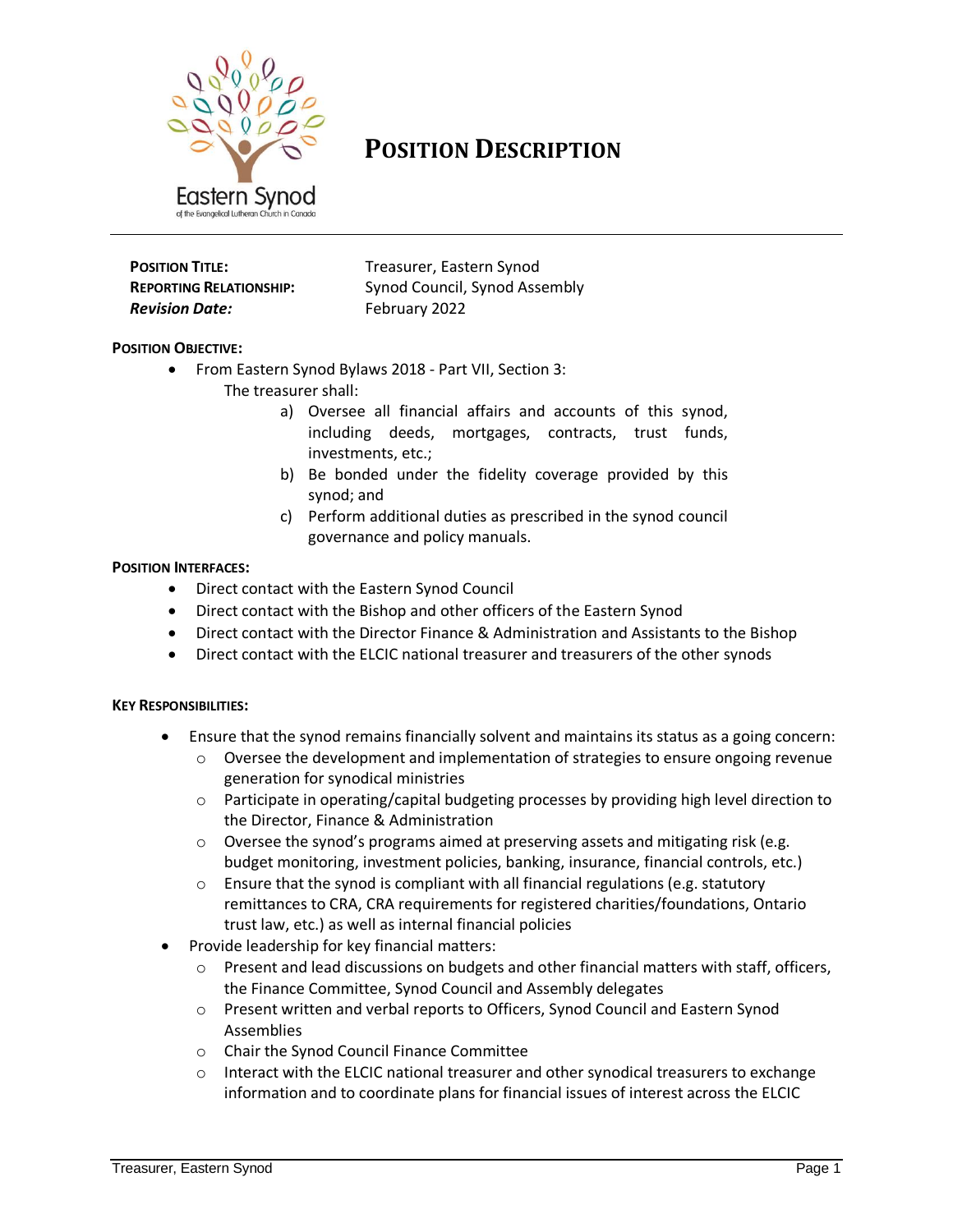

# **POSITION DESCRIPTION**

| <b>POSITION TITLE:</b>         |  |
|--------------------------------|--|
| <b>REPORTING RELATIONSHIP:</b> |  |
| <b>Revision Date:</b>          |  |

**Treasurer, Eastern Synod Synod Council, Synod Assembly** *Revision Date:* February 2022

## **POSITION OBJECTIVE:**

- From Eastern Synod Bylaws 2018 Part VII, Section 3: The treasurer shall:
	- a) Oversee all financial affairs and accounts of this synod, including deeds, mortgages, contracts, trust funds, investments, etc.;
	- b) Be bonded under the fidelity coverage provided by this synod; and
	- c) Perform additional duties as prescribed in the synod council governance and policy manuals.

#### **POSITION INTERFACES:**

- Direct contact with the Eastern Synod Council
- Direct contact with the Bishop and other officers of the Eastern Synod
- Direct contact with the Director Finance & Administration and Assistants to the Bishop
- Direct contact with the ELCIC national treasurer and treasurers of the other synods

#### **KEY RESPONSIBILITIES:**

- Ensure that the synod remains financially solvent and maintains its status as a going concern:
	- $\circ$  Oversee the development and implementation of strategies to ensure ongoing revenue generation for synodical ministries
	- $\circ$  Participate in operating/capital budgeting processes by providing high level direction to the Director, Finance & Administration
	- $\circ$  Oversee the synod's programs aimed at preserving assets and mitigating risk (e.g. budget monitoring, investment policies, banking, insurance, financial controls, etc.)
	- $\circ$  Ensure that the synod is compliant with all financial regulations (e.g. statutory remittances to CRA, CRA requirements for registered charities/foundations, Ontario trust law, etc.) as well as internal financial policies
- Provide leadership for key financial matters:
	- o Present and lead discussions on budgets and other financial matters with staff, officers, the Finance Committee, Synod Council and Assembly delegates
	- o Present written and verbal reports to Officers, Synod Council and Eastern Synod Assemblies
	- o Chair the Synod Council Finance Committee
	- $\circ$  Interact with the ELCIC national treasurer and other synodical treasurers to exchange information and to coordinate plans for financial issues of interest across the ELCIC